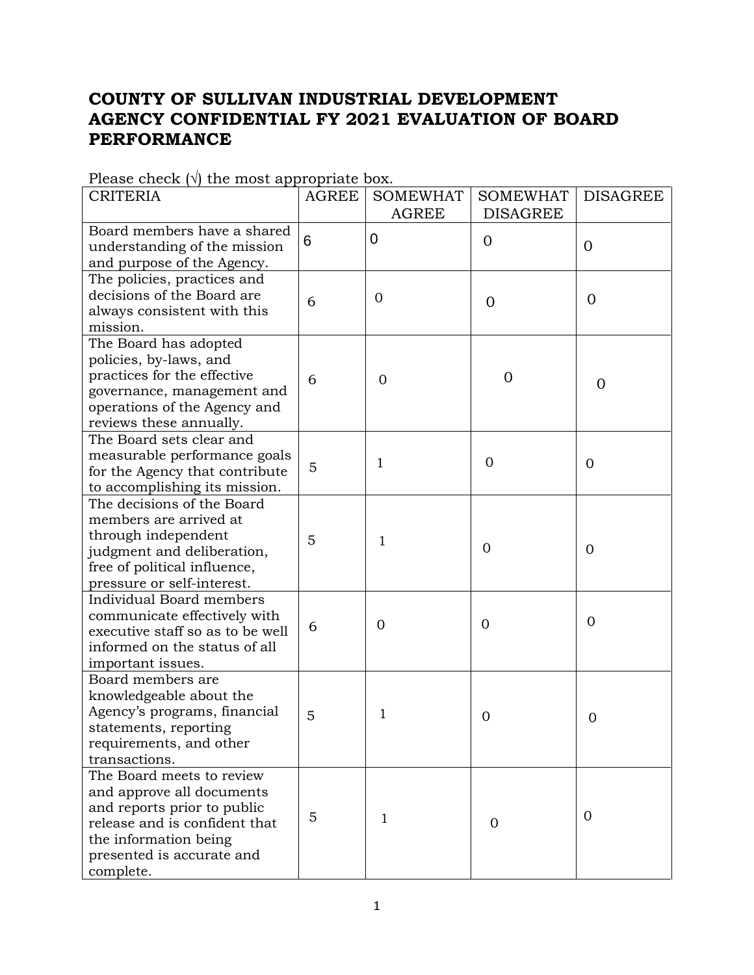## **COUNTY OF SULLIVAN INDUSTRIAL DEVELOPMENT AGENCY CONFIDENTIAL FY 2021 EVALUATION OF BOARD PERFORMANCE**

| <b>CRITERIA</b>                  | <b>AGREE</b> | <b>SOMEWHAT</b> | <b>SOMEWHAT</b> | <b>DISAGREE</b> |
|----------------------------------|--------------|-----------------|-----------------|-----------------|
|                                  |              | <b>AGREE</b>    | <b>DISAGREE</b> |                 |
| Board members have a shared      | 6            | 0               |                 |                 |
| understanding of the mission     |              |                 | $\mathbf{0}$    | $\overline{0}$  |
| and purpose of the Agency.       |              |                 |                 |                 |
| The policies, practices and      |              |                 |                 |                 |
| decisions of the Board are       | 6            | $\overline{0}$  | $\overline{0}$  | $\overline{0}$  |
| always consistent with this      |              |                 |                 |                 |
| mission.                         |              |                 |                 |                 |
| The Board has adopted            |              |                 |                 |                 |
| policies, by-laws, and           |              |                 |                 |                 |
| practices for the effective      | 6            | 0               | $\overline{0}$  |                 |
| governance, management and       |              |                 |                 | $\overline{0}$  |
| operations of the Agency and     |              |                 |                 |                 |
| reviews these annually.          |              |                 |                 |                 |
| The Board sets clear and         |              |                 |                 |                 |
| measurable performance goals     |              | 1               | $\mathbf{0}$    |                 |
| for the Agency that contribute   | 5            |                 |                 | $\overline{0}$  |
| to accomplishing its mission.    |              |                 |                 |                 |
| The decisions of the Board       |              |                 |                 |                 |
| members are arrived at           |              |                 |                 |                 |
| through independent              | 5            | 1               |                 |                 |
| judgment and deliberation,       |              |                 | $\Omega$        | $\overline{0}$  |
| free of political influence,     |              |                 |                 |                 |
| pressure or self-interest.       |              |                 |                 |                 |
| Individual Board members         |              |                 |                 |                 |
| communicate effectively with     |              |                 |                 | $\overline{0}$  |
| executive staff so as to be well | 6            | 0               | $\overline{0}$  |                 |
| informed on the status of all    |              |                 |                 |                 |
| important issues.                |              |                 |                 |                 |
| Board members are                |              |                 |                 |                 |
| knowledgeable about the          |              |                 |                 |                 |
| Agency's programs, financial     | 5            | 1               | 0               | $\overline{0}$  |
| statements, reporting            |              |                 |                 |                 |
| requirements, and other          |              |                 |                 |                 |
| transactions.                    |              |                 |                 |                 |
| The Board meets to review        |              |                 |                 |                 |
| and approve all documents        |              |                 |                 |                 |
| and reports prior to public      |              |                 |                 |                 |
| release and is confident that    | 5            | 1               | $\Omega$        | 0               |
| the information being            |              |                 |                 |                 |
| presented is accurate and        |              |                 |                 |                 |
| complete.                        |              |                 |                 |                 |

Please check  $(\sqrt{})$  the most appropriate box.